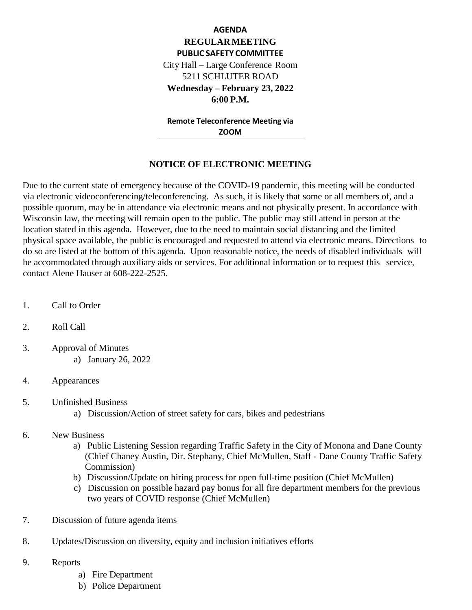# **AGENDA REGULARMEETING PUBLIC SAFETY COMMITTEE** City Hall – Large Conference Room 5211 SCHLUTER ROAD **Wednesday – February 23, 2022 6:00 P.M.**

**Remote Teleconference Meeting via ZOOM**

#### **NOTICE OF ELECTRONIC MEETING**

Due to the current state of emergency because of the COVID-19 pandemic, this meeting will be conducted via electronic videoconferencing/teleconferencing. As such, it is likely that some or all members of, and a possible quorum, may be in attendance via electronic means and not physically present. In accordance with Wisconsin law, the meeting will remain open to the public. The public may still attend in person at the location stated in this agenda. However, due to the need to maintain social distancing and the limited physical space available, the public is encouraged and requested to attend via electronic means. Directions to do so are listed at the bottom of this agenda. Upon reasonable notice, the needs of disabled individuals will be accommodated through auxiliary aids or services. For additional information or to request this service, contact Alene Hauser at 608-222-2525.

- 1. Call to Order
- 2. Roll Call
- 3. Approval of Minutes a) January 26, 2022
- 4. Appearances
- 5. Unfinished Business
	- a) Discussion/Action of street safety for cars, bikes and pedestrians
- 6. New Business
	- a) Public Listening Session regarding Traffic Safety in the City of Monona and Dane County (Chief Chaney Austin, Dir. Stephany, Chief McMullen, Staff - Dane County Traffic Safety Commission)
	- b) Discussion/Update on hiring process for open full-time position (Chief McMullen)
	- c) Discussion on possible hazard pay bonus for all fire department members for the previous two years of COVID response (Chief McMullen)
- 7. Discussion of future agenda items
- 8. Updates/Discussion on diversity, equity and inclusion initiatives efforts
- 9. Reports
	- a) Fire Department
	- b) Police Department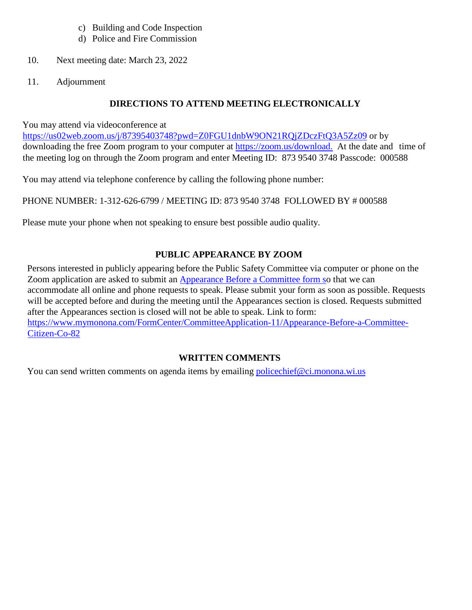- c) Building and Code Inspection
- d) Police and Fire Commission
- 10. Next meeting date: March 23, 2022
- 11. Adjournment

## **DIRECTIONS TO ATTEND MEETING ELECTRONICALLY**

You may attend via videoconference at

<https://us02web.zoom.us/j/87395403748?pwd=Z0FGU1dnbW9ON21RQjZDczFtQ3A5Zz09> or by downloading the free Zoom program to your computer at [https://zoom.us/download.](https://zoom.us/download) At the date and time of the meeting log on through the Zoom program and enter Meeting ID: 873 9540 3748 Passcode: 000588

You may attend via telephone conference by calling the following phone number:

PHONE NUMBER: 1-312-626-6799 / MEETING ID: 873 9540 3748 FOLLOWED BY # 000588

Please mute your phone when not speaking to ensure best possible audio quality.

## **PUBLIC APPEARANCE BY ZOOM**

Persons interested in publicly appearing before the Public Safety Committee via computer or phone on the Zoom application are asked to submit an [Appearance](https://www.mymonona.com/FormCenter/CommitteeApplication-11/Appearance-Before-a-Committee-Citizen-Co-82) Before a Committee form [so](https://www.mymonona.com/FormCenter/CommitteeApplication-11/Appearance-Before-a-Committee-Citizen-Co-82) that we can accommodate all online and phone requests to speak. Please submit your form as soon as possible. Requests will be accepted before and during the meeting until the Appearances section is closed. Requests submitted after the Appearances section is closed will not be able to speak. Link to form: [https://www.mymonona.com/FormCenter/CommitteeApplication-11/Appearance-Before-a-Committee-](https://www.mymonona.com/FormCenter/CommitteeApplication-11/Appearance-Before-a-Committee-Citizen-Co-82)[Citizen-Co-82](https://www.mymonona.com/FormCenter/CommitteeApplication-11/Appearance-Before-a-Committee-Citizen-Co-82)

## **WRITTEN COMMENTS**

You can send written comments on agenda items by emailing [policechief@ci.monona.wi.us](mailto:policechief@ci.monona.wi.us)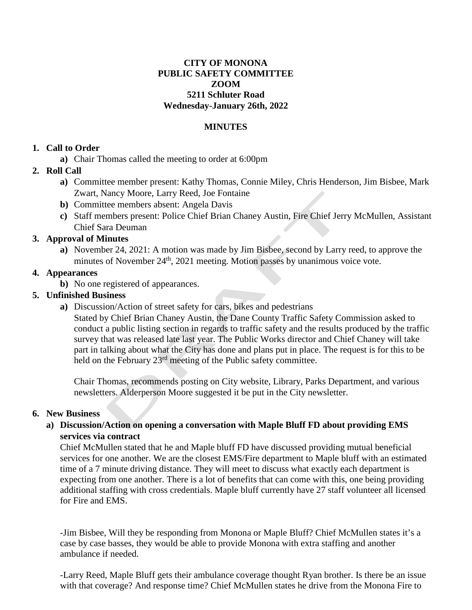## **CITY OF MONONA PUBLIC SAFETY COMMITTEE ZOOM 5211 Schluter Road Wednesday-January 26th, 2022**

#### **MINUTES**

#### **1. Call to Order**

**a)** Chair Thomas called the meeting to order at 6:00pm

## **2. Roll Call**

- **a)** Committee member present: Kathy Thomas, Connie Miley, Chris Henderson, Jim Bisbee, Mark Zwart, Nancy Moore, Larry Reed, Joe Fontaine
- **b)** Committee members absent: Angela Davis
- **c)** Staff members present: Police Chief Brian Chaney Austin, Fire Chief Jerry McMullen, Assistant Chief Sara Deuman

#### **3. Approval of Minutes**

**a)** November 24, 2021: A motion was made by Jim Bisbee, second by Larry reed, to approve the minutes of November  $24<sup>th</sup>$ , 2021 meeting. Motion passes by unanimous voice vote.

#### **4. Appearances**

**b**) No one registered of appearances.

#### **5. Unfinished Business**

**a)** Discussion/Action of street safety for cars, bikes and pedestrians

Stated by Chief Brian Chaney Austin, the Dane County Traffic Safety Commission asked to conduct a public listing section in regards to traffic safety and the results produced by the traffic survey that was released late last year. The Public Works director and Chief Chaney will take part in talking about what the City has done and plans put in place. The request is for this to be held on the February 23<sup>rd</sup> meeting of the Public safety committee.

Chair Thomas, recommends posting on City website, Library, Parks Department, and various newsletters. Alderperson Moore suggested it be put in the City newsletter.

#### **6. New Business**

## **a) Discussion/Action on opening a conversation with Maple Bluff FD about providing EMS services via contract**

Chief McMullen stated that he and Maple bluff FD have discussed providing mutual beneficial services for one another. We are the closest EMS/Fire department to Maple bluff with an estimated time of a 7 minute driving distance. They will meet to discuss what exactly each department is expecting from one another. There is a lot of benefits that can come with this, one being providing additional staffing with cross credentials. Maple bluff currently have 27 staff volunteer all licensed for Fire and EMS.

-Jim Bisbee, Will they be responding from Monona or Maple Bluff? Chief McMullen states it's a case by case basses, they would be able to provide Monona with extra staffing and another ambulance if needed.

-Larry Reed, Maple Bluff gets their ambulance coverage thought Ryan brother. Is there be an issue with that coverage? And response time? Chief McMullen states he drive from the Monona Fire to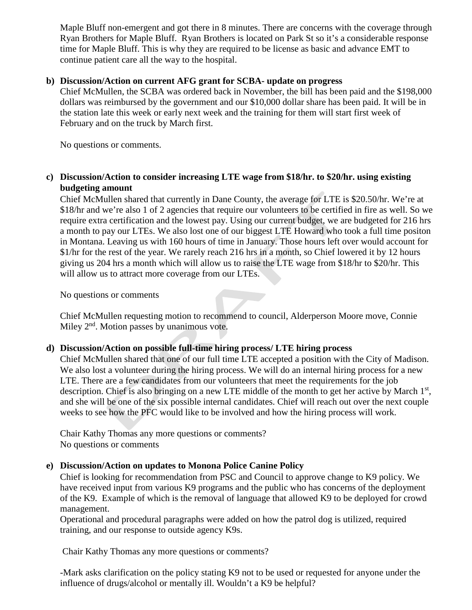Maple Bluff non-emergent and got there in 8 minutes. There are concerns with the coverage through Ryan Brothers for Maple Bluff. Ryan Brothers is located on Park St so it's a considerable response time for Maple Bluff. This is why they are required to be license as basic and advance EMT to continue patient care all the way to the hospital.

#### **b) Discussion/Action on current AFG grant for SCBA- update on progress**

Chief McMullen, the SCBA was ordered back in November, the bill has been paid and the \$198,000 dollars was reimbursed by the government and our \$10,000 dollar share has been paid. It will be in the station late this week or early next week and the training for them will start first week of February and on the truck by March first.

No questions or comments.

## **c) Discussion/Action to consider increasing LTE wage from \$18/hr. to \$20/hr. using existing budgeting amount**

Chief McMullen shared that currently in Dane County, the average for LTE is \$20.50/hr. We're at \$18/hr and we're also 1 of 2 agencies that require our volunteers to be certified in fire as well. So we require extra certification and the lowest pay. Using our current budget, we are budgeted for 216 hrs a month to pay our LTEs. We also lost one of our biggest LTE Howard who took a full time positon in Montana. Leaving us with 160 hours of time in January. Those hours left over would account for \$1/hr for the rest of the year. We rarely reach 216 hrs in a month, so Chief lowered it by 12 hours giving us 204 hrs a month which will allow us to raise the LTE wage from \$18/hr to \$20/hr. This will allow us to attract more coverage from our LTEs.

No questions or comments

Chief McMullen requesting motion to recommend to council, Alderperson Moore move, Connie Miley  $2<sup>nd</sup>$ . Motion passes by unanimous vote.

#### **d) Discussion/Action on possible full-time hiring process/ LTE hiring process**

Chief McMullen shared that one of our full time LTE accepted a position with the City of Madison. We also lost a volunteer during the hiring process. We will do an internal hiring process for a new LTE. There are a few candidates from our volunteers that meet the requirements for the job description. Chief is also bringing on a new LTE middle of the month to get her active by March 1<sup>st</sup>, and she will be one of the six possible internal candidates. Chief will reach out over the next couple weeks to see how the PFC would like to be involved and how the hiring process will work.

Chair Kathy Thomas any more questions or comments? No questions or comments

#### **e) Discussion/Action on updates to Monona Police Canine Policy**

Chief is looking for recommendation from PSC and Council to approve change to K9 policy. We have received input from various K9 programs and the public who has concerns of the deployment of the K9. Example of which is the removal of language that allowed K9 to be deployed for crowd management.

Operational and procedural paragraphs were added on how the patrol dog is utilized, required training, and our response to outside agency K9s.

Chair Kathy Thomas any more questions or comments?

-Mark asks clarification on the policy stating K9 not to be used or requested for anyone under the influence of drugs/alcohol or mentally ill. Wouldn't a K9 be helpful?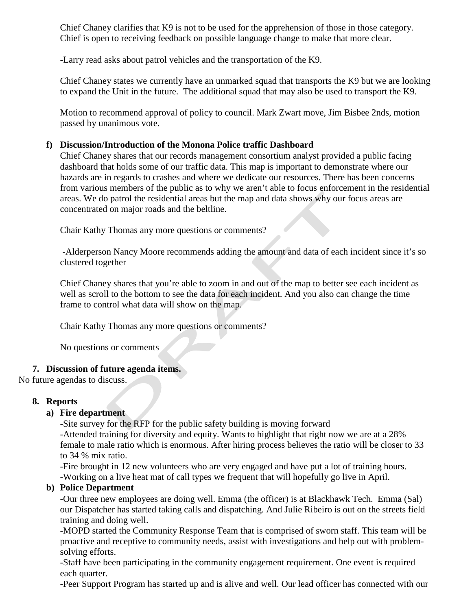Chief Chaney clarifies that K9 is not to be used for the apprehension of those in those category. Chief is open to receiving feedback on possible language change to make that more clear.

-Larry read asks about patrol vehicles and the transportation of the K9.

Chief Chaney states we currently have an unmarked squad that transports the K9 but we are looking to expand the Unit in the future. The additional squad that may also be used to transport the K9.

Motion to recommend approval of policy to council. Mark Zwart move, Jim Bisbee 2nds, motion passed by unanimous vote.

## **f) Discussion/Introduction of the Monona Police traffic Dashboard**

Chief Chaney shares that our records management consortium analyst provided a public facing dashboard that holds some of our traffic data. This map is important to demonstrate where our hazards are in regards to crashes and where we dedicate our resources. There has been concerns from various members of the public as to why we aren't able to focus enforcement in the residential areas. We do patrol the residential areas but the map and data shows why our focus areas are concentrated on major roads and the beltline.

Chair Kathy Thomas any more questions or comments?

-Alderperson Nancy Moore recommends adding the amount and data of each incident since it's so clustered together

Chief Chaney shares that you're able to zoom in and out of the map to better see each incident as well as scroll to the bottom to see the data for each incident. And you also can change the time frame to control what data will show on the map.

Chair Kathy Thomas any more questions or comments?

No questions or comments

## **7. Discussion of future agenda items.**

No future agendas to discuss.

## **8. Reports**

## **a) Fire department**

-Site survey for the RFP for the public safety building is moving forward -Attended training for diversity and equity. Wants to highlight that right now we are at a 28%

female to male ratio which is enormous. After hiring process believes the ratio will be closer to 33 to 34 % mix ratio.

-Fire brought in 12 new volunteers who are very engaged and have put a lot of training hours. -Working on a live heat mat of call types we frequent that will hopefully go live in April.

## **b) Police Department**

-Our three new employees are doing well. Emma (the officer) is at Blackhawk Tech. Emma (Sal) our Dispatcher has started taking calls and dispatching. And Julie Ribeiro is out on the streets field training and doing well.

-MOPD started the Community Response Team that is comprised of sworn staff. This team will be proactive and receptive to community needs, assist with investigations and help out with problemsolving efforts.

-Staff have been participating in the community engagement requirement. One event is required each quarter.

-Peer Support Program has started up and is alive and well. Our lead officer has connected with our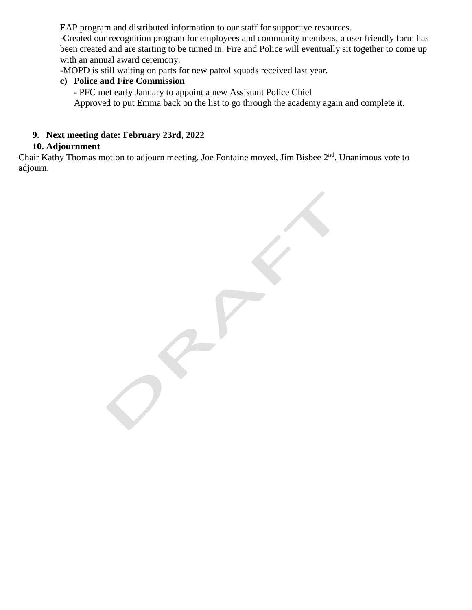EAP program and distributed information to our staff for supportive resources.

-Created our recognition program for employees and community members, a user friendly form has been created and are starting to be turned in. Fire and Police will eventually sit together to come up with an annual award ceremony.

-MOPD is still waiting on parts for new patrol squads received last year.

## **c) Police and Fire Commission**

- PFC met early January to appoint a new Assistant Police Chief Approved to put Emma back on the list to go through the academy again and complete it.

## **9. Next meeting date: February 23rd, 2022**

## **10. Adjournment**

Chair Kathy Thomas motion to adjourn meeting. Joe Fontaine moved, Jim Bisbee 2<sup>nd</sup>. Unanimous vote to adjourn.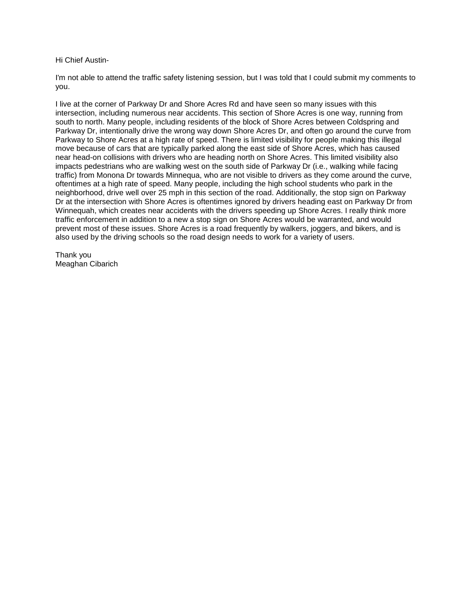#### Hi Chief Austin-

I'm not able to attend the traffic safety listening session, but I was told that I could submit my comments to you.

I live at the corner of Parkway Dr and Shore Acres Rd and have seen so many issues with this intersection, including numerous near accidents. This section of Shore Acres is one way, running from south to north. Many people, including residents of the block of Shore Acres between Coldspring and Parkway Dr, intentionally drive the wrong way down Shore Acres Dr, and often go around the curve from Parkway to Shore Acres at a high rate of speed. There is limited visibility for people making this illegal move because of cars that are typically parked along the east side of Shore Acres, which has caused near head-on collisions with drivers who are heading north on Shore Acres. This limited visibility also impacts pedestrians who are walking west on the south side of Parkway Dr (i.e., walking while facing traffic) from Monona Dr towards Minnequa, who are not visible to drivers as they come around the curve, oftentimes at a high rate of speed. Many people, including the high school students who park in the neighborhood, drive well over 25 mph in this section of the road. Additionally, the stop sign on Parkway Dr at the intersection with Shore Acres is oftentimes ignored by drivers heading east on Parkway Dr from Winnequah, which creates near accidents with the drivers speeding up Shore Acres. I really think more traffic enforcement in addition to a new a stop sign on Shore Acres would be warranted, and would prevent most of these issues. Shore Acres is a road frequently by walkers, joggers, and bikers, and is also used by the driving schools so the road design needs to work for a variety of users.

Thank you Meaghan Cibarich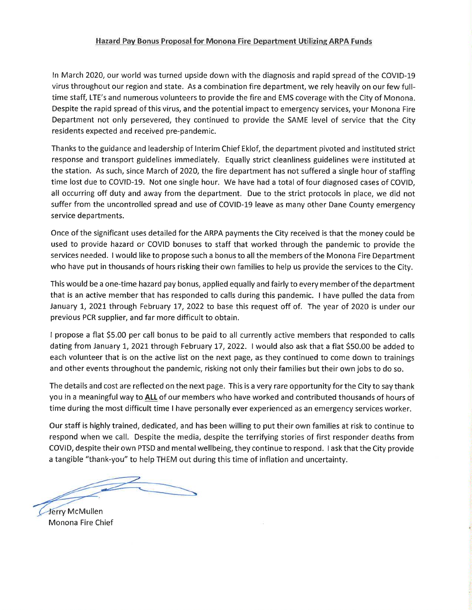#### Hazard Pay Bonus Proposal for Monona Fire Department Utilizing ARPA Funds

In March 2020, our world was turned upside down with the diagnosis and rapid spread of the COVID-19 virus throughout our region and state. As a combination fire department, we rely heavily on our few fulltime staff, LTE's and numerous volunteers to provide the fire and EMS coverage with the City of Monona. Despite the rapid spread of this virus, and the potential impact to emergency services, your Monona Fire Department not only persevered, they continued to provide the SAME level of service that the City residents expected and received pre-pandemic.

Thanks to the guidance and leadership of Interim Chief Eklof, the department pivoted and instituted strict response and transport guidelines immediately. Equally strict cleanliness guidelines were instituted at the station. As such, since March of 2020, the fire department has not suffered a single hour of staffing time lost due to COVID-19. Not one single hour. We have had a total of four diagnosed cases of COVID, all occurring off duty and away from the department. Due to the strict protocols in place, we did not suffer from the uncontrolled spread and use of COVID-19 leave as many other Dane County emergency service departments.

Once of the significant uses detailed for the ARPA payments the City received is that the money could be used to provide hazard or COVID bonuses to staff that worked through the pandemic to provide the services needed. I would like to propose such a bonus to all the members of the Monona Fire Department who have put in thousands of hours risking their own families to help us provide the services to the City.

This would be a one-time hazard pay bonus, applied equally and fairly to every member of the department that is an active member that has responded to calls during this pandemic. I have pulled the data from January 1, 2021 through February 17, 2022 to base this request off of. The year of 2020 is under our previous PCR supplier, and far more difficult to obtain.

I propose a flat \$5.00 per call bonus to be paid to all currently active members that responded to calls dating from January 1, 2021 through February 17, 2022. I would also ask that a flat \$50.00 be added to each volunteer that is on the active list on the next page, as they continued to come down to trainings and other events throughout the pandemic, risking not only their families but their own jobs to do so.

The details and cost are reflected on the next page. This is a very rare opportunity for the City to say thank you in a meaningful way to ALL of our members who have worked and contributed thousands of hours of time during the most difficult time I have personally ever experienced as an emergency services worker.

Our staff is highly trained, dedicated, and has been willing to put their own families at risk to continue to respond when we call. Despite the media, despite the terrifying stories of first responder deaths from COVID, despite their own PTSD and mental wellbeing, they continue to respond. I ask that the City provide a tangible "thank-you" to help THEM out during this time of inflation and uncertainty.

Jerry McMullen Monona Fire Chief